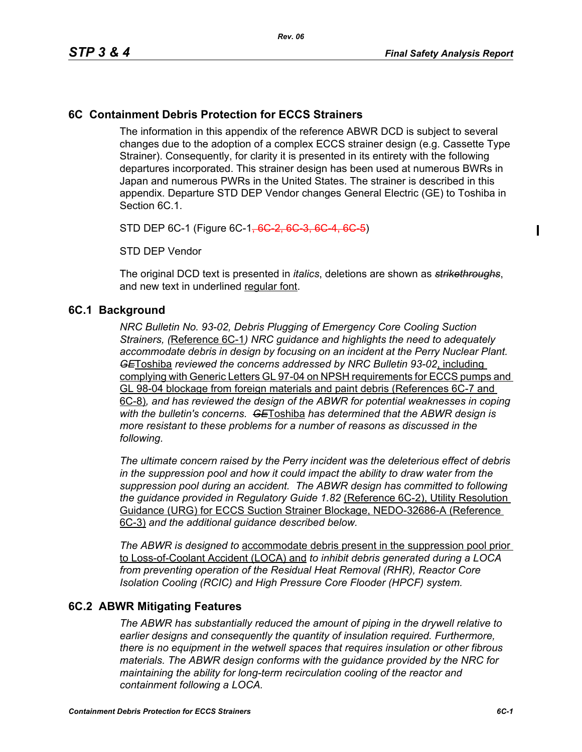$\blacksquare$ 

# **6C Containment Debris Protection for ECCS Strainers**

The information in this appendix of the reference ABWR DCD is subject to several changes due to the adoption of a complex ECCS strainer design (e.g. Cassette Type Strainer). Consequently, for clarity it is presented in its entirety with the following departures incorporated. This strainer design has been used at numerous BWRs in Japan and numerous PWRs in the United States. The strainer is described in this appendix. Departure STD DEP Vendor changes General Electric (GE) to Toshiba in Section 6C.1.

STD DEP 6C-1 (Figure 6C-1<del>, 6C 2, 6C 3, 6C 4,</del>

STD DEP Vendor

The original DCD text is presented in *italics*, deletions are shown as *strikethroughs*, and new text in underlined regular font.

#### **6C.1 Background**

*NRC Bulletin No. 93-02, Debris Plugging of Emergency Core Cooling Suction Strainers, (*Reference 6C-1*) NRC guidance and highlights the need to adequately accommodate debris in design by focusing on an incident at the Perry Nuclear Plant. GE*Toshiba *reviewed the concerns addressed by NRC Bulletin 93-02*, including complying with Generic Letters GL 97-04 on NPSH requirements for ECCS pumps and GL 98-04 blockage from foreign materials and paint debris (References 6C-7 and 6C-8)*, and has reviewed the design of the ABWR for potential weaknesses in coping with the bulletin's concerns. GE*Toshiba *has determined that the ABWR design is more resistant to these problems for a number of reasons as discussed in the following.* 

*The ultimate concern raised by the Perry incident was the deleterious effect of debris in the suppression pool and how it could impact the ability to draw water from the suppression pool during an accident. The ABWR design has committed to following the guidance provided in Regulatory Guide 1.82* (Reference 6C-2), Utility Resolution Guidance (URG) for ECCS Suction Strainer Blockage, NEDO-32686-A (Reference 6C-3) *and the additional guidance described below.* 

*The ABWR is designed to* accommodate debris present in the suppression pool prior to Loss-of-Coolant Accident (LOCA) and *to inhibit debris generated during a LOCA from preventing operation of the Residual Heat Removal (RHR), Reactor Core Isolation Cooling (RCIC) and High Pressure Core Flooder (HPCF) system.* 

### **6C.2 ABWR Mitigating Features**

*The ABWR has substantially reduced the amount of piping in the drywell relative to earlier designs and consequently the quantity of insulation required. Furthermore, there is no equipment in the wetwell spaces that requires insulation or other fibrous materials. The ABWR design conforms with the guidance provided by the NRC for maintaining the ability for long-term recirculation cooling of the reactor and containment following a LOCA.*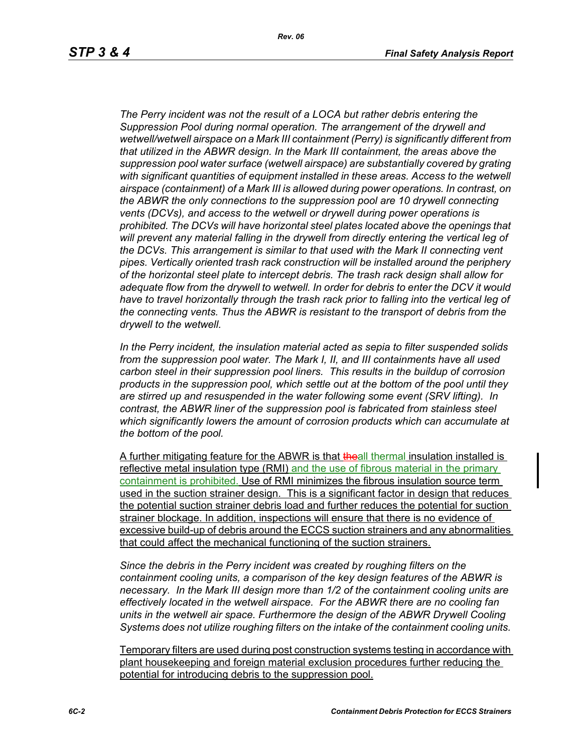*Rev. 06*

*The Perry incident was not the result of a LOCA but rather debris entering the Suppression Pool during normal operation. The arrangement of the drywell and wetwell/wetwell airspace on a Mark III containment (Perry) is significantly different from that utilized in the ABWR design. In the Mark III containment, the areas above the suppression pool water surface (wetwell airspace) are substantially covered by grating with significant quantities of equipment installed in these areas. Access to the wetwell airspace (containment) of a Mark III is allowed during power operations. In contrast, on the ABWR the only connections to the suppression pool are 10 drywell connecting vents (DCVs), and access to the wetwell or drywell during power operations is prohibited. The DCVs will have horizontal steel plates located above the openings that will prevent any material falling in the drywell from directly entering the vertical leg of the DCVs. This arrangement is similar to that used with the Mark II connecting vent pipes. Vertically oriented trash rack construction will be installed around the periphery of the horizontal steel plate to intercept debris. The trash rack design shall allow for adequate flow from the drywell to wetwell. In order for debris to enter the DCV it would*  have to travel horizontally through the trash rack prior to falling into the vertical leg of *the connecting vents. Thus the ABWR is resistant to the transport of debris from the drywell to the wetwell.*

*In the Perry incident, the insulation material acted as sepia to filter suspended solids from the suppression pool water. The Mark I, II, and III containments have all used carbon steel in their suppression pool liners. This results in the buildup of corrosion products in the suppression pool, which settle out at the bottom of the pool until they are stirred up and resuspended in the water following some event (SRV lifting). In contrast, the ABWR liner of the suppression pool is fabricated from stainless steel which significantly lowers the amount of corrosion products which can accumulate at the bottom of the pool.* 

A further mitigating feature for the ABWR is that the all thermal insulation installed is reflective metal insulation type (RMI) and the use of fibrous material in the primary containment is prohibited. Use of RMI minimizes the fibrous insulation source term used in the suction strainer design. This is a significant factor in design that reduces the potential suction strainer debris load and further reduces the potential for suction strainer blockage. In addition, inspections will ensure that there is no evidence of excessive build-up of debris around the ECCS suction strainers and any abnormalities that could affect the mechanical functioning of the suction strainers.

*Since the debris in the Perry incident was created by roughing filters on the containment cooling units, a comparison of the key design features of the ABWR is necessary. In the Mark III design more than 1/2 of the containment cooling units are effectively located in the wetwell airspace. For the ABWR there are no cooling fan units in the wetwell air space. Furthermore the design of the ABWR Drywell Cooling Systems does not utilize roughing filters on the intake of the containment cooling units.* 

Temporary filters are used during post construction systems testing in accordance with plant housekeeping and foreign material exclusion procedures further reducing the potential for introducing debris to the suppression pool.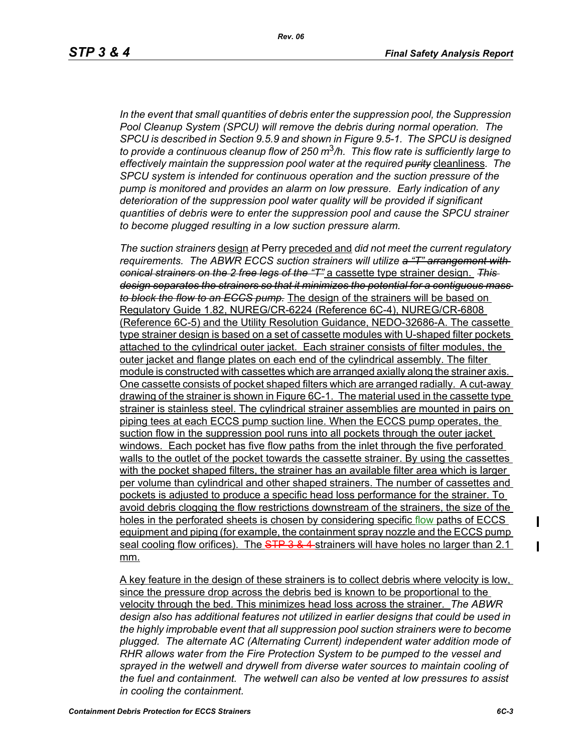*In the event that small quantities of debris enter the suppression pool, the Suppression Pool Cleanup System (SPCU) will remove the debris during normal operation. The SPCU is described in Section 9.5.9 and shown in Figure 9.5-1. The SPCU is designed to provide a continuous cleanup flow of 250 m*3*/h. This flow rate is sufficiently large to effectively maintain the suppression pool water at the required purity* cleanliness*. The SPCU system is intended for continuous operation and the suction pressure of the pump is monitored and provides an alarm on low pressure. Early indication of any deterioration of the suppression pool water quality will be provided if significant quantities of debris were to enter the suppression pool and cause the SPCU strainer to become plugged resulting in a low suction pressure alarm.* 

*The suction strainers* design *at* Perry preceded and *did not meet the current regulatory requirements. The ABWR ECCS suction strainers will utilize a "T" arrangement with conical strainers on the 2 free legs of the "T"* a cassette type strainer design. *This design separates the strainers so that it minimizes the potential for a contiguous mass to block the flow to an ECCS pump.* The design of the strainers will be based on Regulatory Guide 1.82, NUREG/CR-6224 (Reference 6C-4), NUREG/CR-6808 (Reference 6C-5) and the Utility Resolution Guidance, NEDO-32686-A. The cassette type strainer design is based on a set of cassette modules with U-shaped filter pockets attached to the cylindrical outer jacket. Each strainer consists of filter modules, the outer jacket and flange plates on each end of the cylindrical assembly. The filter module is constructed with cassettes which are arranged axially along the strainer axis. One cassette consists of pocket shaped filters which are arranged radially. A cut-away drawing of the strainer is shown in Figure 6C-1. The material used in the cassette type strainer is stainless steel. The cylindrical strainer assemblies are mounted in pairs on piping tees at each ECCS pump suction line. When the ECCS pump operates, the suction flow in the suppression pool runs into all pockets through the outer jacket windows. Each pocket has five flow paths from the inlet through the five perforated walls to the outlet of the pocket towards the cassette strainer. By using the cassettes with the pocket shaped filters, the strainer has an available filter area which is larger per volume than cylindrical and other shaped strainers. The number of cassettes and pockets is adjusted to produce a specific head loss performance for the strainer. To avoid debris clogging the flow restrictions downstream of the strainers, the size of the holes in the perforated sheets is chosen by considering specific flow paths of ECCS equipment and piping (for example, the containment spray nozzle and the ECCS pump seal cooling flow orifices). The STP 3 & 4 strainers will have holes no larger than 2.1 mm.

A key feature in the design of these strainers is to collect debris where velocity is low, since the pressure drop across the debris bed is known to be proportional to the velocity through the bed. This minimizes head loss across the strainer. *The ABWR design also has additional features not utilized in earlier designs that could be used in the highly improbable event that all suppression pool suction strainers were to become plugged. The alternate AC (Alternating Current) independent water addition mode of RHR allows water from the Fire Protection System to be pumped to the vessel and*  sprayed in the wetwell and drywell from diverse water sources to maintain cooling of *the fuel and containment. The wetwell can also be vented at low pressures to assist in cooling the containment.*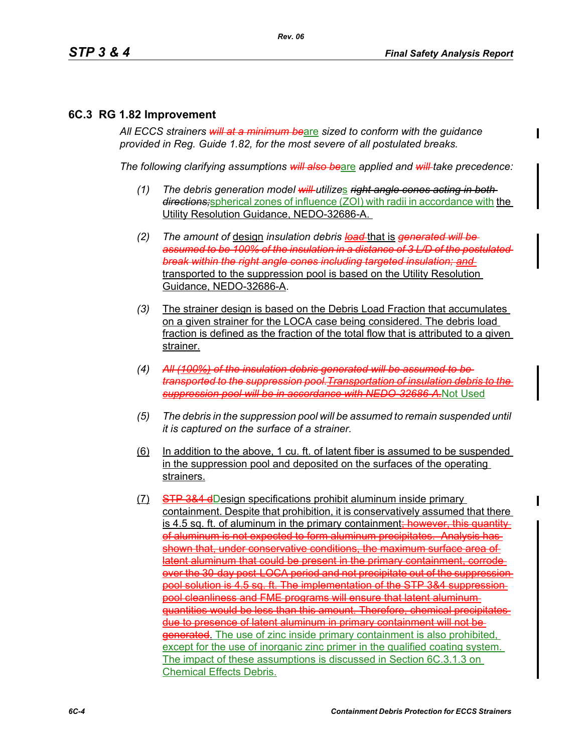#### **6C.3 RG 1.82 Improvement**

*All ECCS strainers will at a minimum be*are *sized to conform with the guidance provided in Reg. Guide 1.82, for the most severe of all postulated breaks.*

*The following clarifying assumptions will also be*are *applied and will take precedence:*

- *(1) The debris generation model will utilize*s *right angle cones acting in both directions;*spherical zones of influence (ZOI) with radii in accordance with the Utility Resolution Guidance, NEDO-32686-A.
- *(2) The amount of* design *insulation debris load* that is *generated will be assumed to be 100% of the insulation in a distance of 3 L/D of the postulated break within the right angle cones including targeted insulation; and*  transported to the suppression pool is based on the Utility Resolution Guidance, NEDO-32686-A.
- *(3)* The strainer design is based on the Debris Load Fraction that accumulates on a given strainer for the LOCA case being considered. The debris load fraction is defined as the fraction of the total flow that is attributed to a given strainer.
- *(4) All (100%) of the insulation debris generated will be assumed to be transported to the suppression pool.Transportation of insulation debris to the suppression pool will be in accordance with NEDO-32686-A.*Not Used
- *(5) The debris in the suppression pool will be assumed to remain suspended until it is captured on the surface of a strainer.*
- (6) In addition to the above, 1 cu. ft. of latent fiber is assumed to be suspended in the suppression pool and deposited on the surfaces of the operating strainers.
- (7) STP 3&4 dDesign specifications prohibit aluminum inside primary containment. Despite that prohibition, it is conservatively assumed that there is 4.5 sq. ft. of aluminum in the primary containment<del>; however, this quantity</del> of aluminum is not expected to form aluminum precipitates. Analysis has shown that, under conservative conditions, the maximum surface area of latent aluminum that could be present in the primary containment, corrode over the 30-day post-LOCA period and not precipitate out of the suppression pool solution is 4.5 sq. ft. The implementation of the STP 3&4 suppression pool cleanliness and FME programs will ensure that latent aluminum quantities would be less than this amount. Therefore, chemical precipitates due to presence of latent aluminum in primary containment will not be **generated.** The use of zinc inside primary containment is also prohibited. except for the use of inorganic zinc primer in the qualified coating system. The impact of these assumptions is discussed in Section 6C.3.1.3 on Chemical Effects Debris.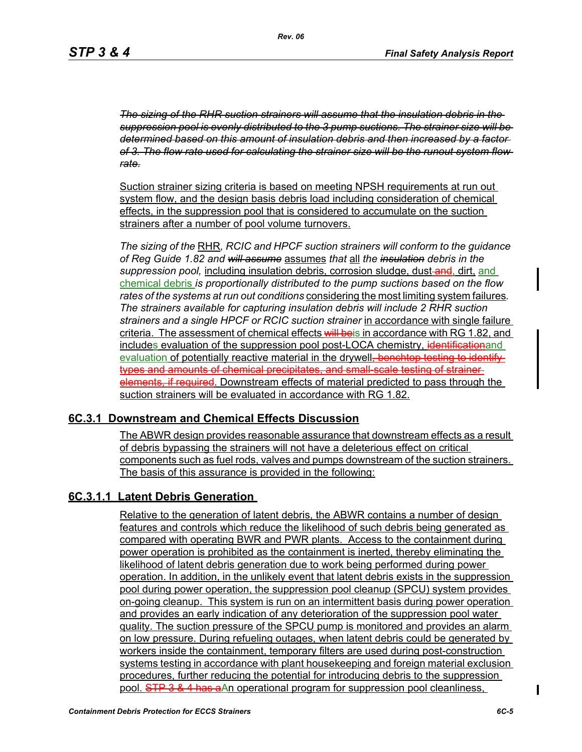*The sizing of the RHR suction strainers will assume that the insulation debris in the suppression pool is evenly distributed to the 3 pump suctions. The strainer size will be determined based on this amount of insulation debris and then increased by a factor of 3. The flow rate used for calculating the strainer size will be the runout system flow rate.*

Suction strainer sizing criteria is based on meeting NPSH requirements at run out system flow, and the design basis debris load including consideration of chemical effects, in the suppression pool that is considered to accumulate on the suction strainers after a number of pool volume turnovers.

*The sizing of the* RHR*, RCIC and HPCF suction strainers will conform to the guidance of Reg Guide 1.82 and will assume* assumes *that* all *the insulation debris in the*  suppression pool, including insulation debris, corrosion sludge, dust-and, dirt, and chemical debris *is proportionally distributed to the pump suctions based on the flow rates of the systems at run out conditions* considering the most limiting system failures*. The strainers available for capturing insulation debris will include 2 RHR suction strainers and a single HPCF or RCIC suction strainer* in accordance with single failure criteria. The assessment of chemical effects will beis in accordance with RG 1.82, and includes evaluation of the suppression pool post-LOCA chemistry, identificationand evaluation of potentially reactive material in the drywell<del>, benchtop testing to identify</del> types and amounts of chemical precipitates, and small-scale testing of strainerelements, if required. Downstream effects of material predicted to pass through the suction strainers will be evaluated in accordance with RG 1.82.

#### **6C.3.1 Downstream and Chemical Effects Discussion**

The ABWR design provides reasonable assurance that downstream effects as a result of debris bypassing the strainers will not have a deleterious effect on critical components such as fuel rods, valves and pumps downstream of the suction strainers. The basis of this assurance is provided in the following:

### **6C.3.1.1 Latent Debris Generation**

Relative to the generation of latent debris, the ABWR contains a number of design features and controls which reduce the likelihood of such debris being generated as compared with operating BWR and PWR plants. Access to the containment during power operation is prohibited as the containment is inerted, thereby eliminating the likelihood of latent debris generation due to work being performed during power operation. In addition, in the unlikely event that latent debris exists in the suppression pool during power operation, the suppression pool cleanup (SPCU) system provides on-going cleanup. This system is run on an intermittent basis during power operation and provides an early indication of any deterioration of the suppression pool water quality. The suction pressure of the SPCU pump is monitored and provides an alarm on low pressure. During refueling outages, when latent debris could be generated by workers inside the containment, temporary filters are used during post-construction systems testing in accordance with plant housekeeping and foreign material exclusion procedures, further reducing the potential for introducing debris to the suppression pool. STP 3 & 4 has aAn operational program for suppression pool cleanliness,

ı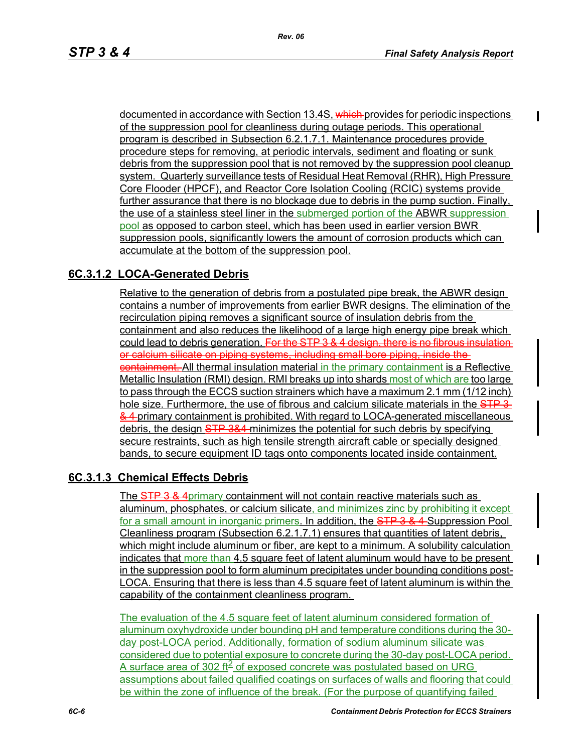documented in accordance with Section 13.4S, which provides for periodic inspections of the suppression pool for cleanliness during outage periods. This operational program is described in Subsection 6.2.1.7.1. Maintenance procedures provide procedure steps for removing, at periodic intervals, sediment and floating or sunk debris from the suppression pool that is not removed by the suppression pool cleanup system. Quarterly surveillance tests of Residual Heat Removal (RHR), High Pressure Core Flooder (HPCF), and Reactor Core Isolation Cooling (RCIC) systems provide further assurance that there is no blockage due to debris in the pump suction. Finally, the use of a stainless steel liner in the submerged portion of the ABWR suppression pool as opposed to carbon steel, which has been used in earlier version BWR suppression pools, significantly lowers the amount of corrosion products which can accumulate at the bottom of the suppression pool.

## **6C.3.1.2 LOCA-Generated Debris**

Relative to the generation of debris from a postulated pipe break, the ABWR design contains a number of improvements from earlier BWR designs. The elimination of the recirculation piping removes a significant source of insulation debris from the containment and also reduces the likelihood of a large high energy pipe break which could lead to debris generation. For the STP 3 & 4 design, there is no fibrous insulation or calcium silicate on piping systems, including small bore piping, inside the containment. All thermal insulation material in the primary containment is a Reflective Metallic Insulation (RMI) design. RMI breaks up into shards most of which are too large to pass through the ECCS suction strainers which have a maximum 2.1 mm (1/12 inch) hole size. Furthermore, the use of fibrous and calcium silicate materials in the STP 3-& 4 primary containment is prohibited. With regard to LOCA-generated miscellaneous debris, the design STP 3&4-minimizes the potential for such debris by specifying secure restraints, such as high tensile strength aircraft cable or specially designed bands, to secure equipment ID tags onto components located inside containment.

### **6C.3.1.3 Chemical Effects Debris**

The STP 3 & 4primary containment will not contain reactive materials such as aluminum, phosphates, or calcium silicate, and minimizes zinc by prohibiting it except for a small amount in inorganic primers. In addition, the STP 3 & 4-Suppression Pool Cleanliness program (Subsection 6.2.1.7.1) ensures that quantities of latent debris, which might include aluminum or fiber, are kept to a minimum. A solubility calculation indicates that more than 4.5 square feet of latent aluminum would have to be present in the suppression pool to form aluminum precipitates under bounding conditions post-LOCA. Ensuring that there is less than 4.5 square feet of latent aluminum is within the capability of the containment cleanliness program.

The evaluation of the 4.5 square feet of latent aluminum considered formation of aluminum oxyhydroxide under bounding pH and temperature conditions during the 30 day post-LOCA period. Additionally, formation of sodium aluminum silicate was considered due to potential exposure to concrete during the 30-day post-LOCA period. A surface area of 302 ft $\leq$  of exposed concrete was postulated based on URG assumptions about failed qualified coatings on surfaces of walls and flooring that could be within the zone of influence of the break. (For the purpose of quantifying failed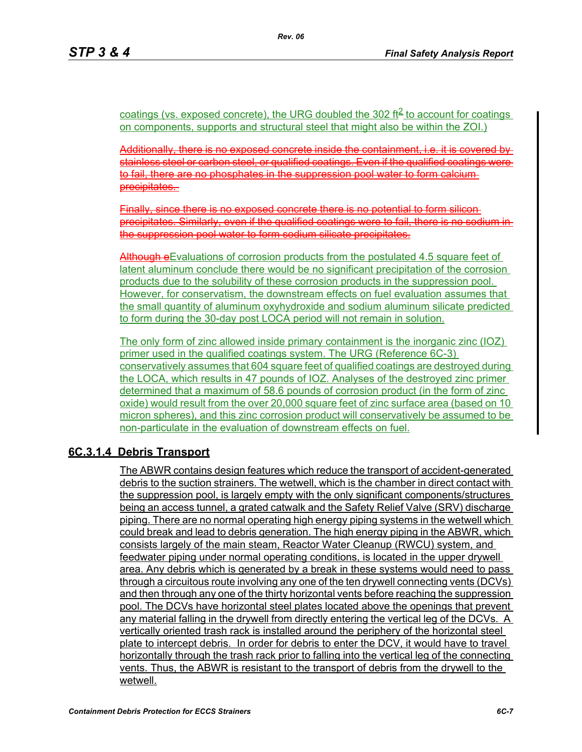coatings (vs. exposed concrete), the URG doubled the 302 ft<sup>2</sup> to account for coatings on components, supports and structural steel that might also be within the ZOI.)

Additionally, there is no exposed concrete inside the containment, i.e. it is covered by stainless steel or carbon steel, or qualified coatings. Even if the qualified coatings were to fail, there are no phosphates in the suppression pool water to form calcium precipitates.

Finally, since there is no exposed concrete there is no potential to form silicon precipitates. Similarly, even if the qualified coatings were to fail, there is no sodium in the suppression pool water to form sodium silicate precipitates.

Athough eEvaluations of corrosion products from the postulated 4.5 square feet of latent aluminum conclude there would be no significant precipitation of the corrosion products due to the solubility of these corrosion products in the suppression pool. However, for conservatism, the downstream effects on fuel evaluation assumes that the small quantity of aluminum oxyhydroxide and sodium aluminum silicate predicted to form during the 30-day post LOCA period will not remain in solution.

The only form of zinc allowed inside primary containment is the inorganic zinc (IOZ) primer used in the qualified coatings system. The URG (Reference 6C-3) conservatively assumes that 604 square feet of qualified coatings are destroyed during the LOCA, which results in 47 pounds of IOZ. Analyses of the destroyed zinc primer determined that a maximum of 58.6 pounds of corrosion product (in the form of zinc oxide) would result from the over 20,000 square feet of zinc surface area (based on 10 micron spheres), and this zinc corrosion product will conservatively be assumed to be non-particulate in the evaluation of downstream effects on fuel.

### **6C.3.1.4 Debris Transport**

The ABWR contains design features which reduce the transport of accident-generated debris to the suction strainers. The wetwell, which is the chamber in direct contact with the suppression pool, is largely empty with the only significant components/structures being an access tunnel, a grated catwalk and the Safety Relief Valve (SRV) discharge piping. There are no normal operating high energy piping systems in the wetwell which could break and lead to debris generation. The high energy piping in the ABWR, which consists largely of the main steam, Reactor Water Cleanup (RWCU) system, and feedwater piping under normal operating conditions, is located in the upper drywell area. Any debris which is generated by a break in these systems would need to pass through a circuitous route involving any one of the ten drywell connecting vents (DCVs) and then through any one of the thirty horizontal vents before reaching the suppression pool. The DCVs have horizontal steel plates located above the openings that prevent any material falling in the drywell from directly entering the vertical leg of the DCVs. A vertically oriented trash rack is installed around the periphery of the horizontal steel plate to intercept debris. In order for debris to enter the DCV, it would have to travel horizontally through the trash rack prior to falling into the vertical leg of the connecting vents. Thus, the ABWR is resistant to the transport of debris from the drywell to the wetwell.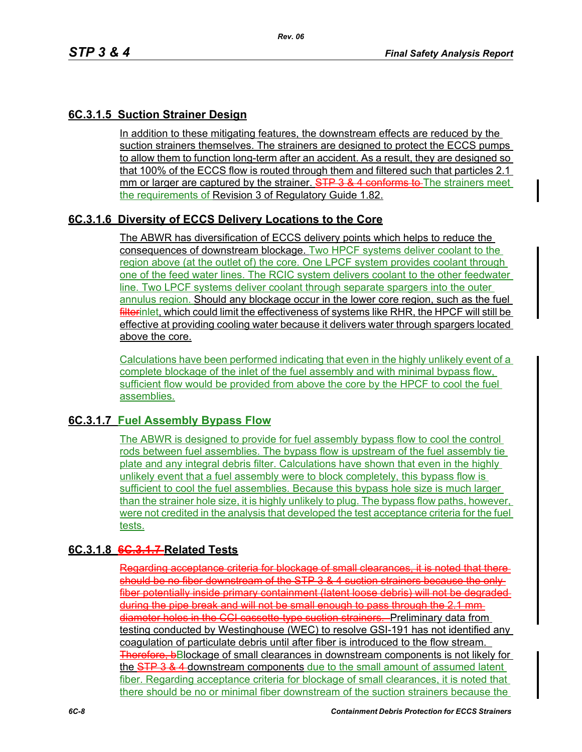## **6C.3.1.5 Suction Strainer Design**

In addition to these mitigating features, the downstream effects are reduced by the suction strainers themselves. The strainers are designed to protect the ECCS pumps to allow them to function long-term after an accident. As a result, they are designed so that 100% of the ECCS flow is routed through them and filtered such that particles 2.1 mm or larger are captured by the strainer. STP 3 & 4 conforms to The strainers meet the requirements of Revision 3 of Regulatory Guide 1.82.

## **6C.3.1.6 Diversity of ECCS Delivery Locations to the Core**

The ABWR has diversification of ECCS delivery points which helps to reduce the consequences of downstream blockage. Two HPCF systems deliver coolant to the region above (at the outlet of) the core. One LPCF system provides coolant through one of the feed water lines. The RCIC system delivers coolant to the other feedwater line. Two LPCF systems deliver coolant through separate spargers into the outer annulus region. Should any blockage occur in the lower core region, such as the fuel filterinlet, which could limit the effectiveness of systems like RHR, the HPCF will still be effective at providing cooling water because it delivers water through spargers located above the core.

Calculations have been performed indicating that even in the highly unlikely event of a complete blockage of the inlet of the fuel assembly and with minimal bypass flow, sufficient flow would be provided from above the core by the HPCF to cool the fuel assemblies.

### **6C.3.1.7 Fuel Assembly Bypass Flow**

The ABWR is designed to provide for fuel assembly bypass flow to cool the control rods between fuel assemblies. The bypass flow is upstream of the fuel assembly tie plate and any integral debris filter. Calculations have shown that even in the highly unlikely event that a fuel assembly were to block completely, this bypass flow is sufficient to cool the fuel assemblies. Because this bypass hole size is much larger than the strainer hole size, it is highly unlikely to plug. The bypass flow paths, however, were not credited in the analysis that developed the test acceptance criteria for the fuel tests.

### **6C.3.1.8 6C.3.1.7 Related Tests**

Regarding acceptance criteria for blockage of small clearances, it is noted that should be no fiber downstream of the STP 3 & 4 suction strainers because the only fiber potentially inside primary containment (latent loose debris) will not be degraded during the pipe break and will not be small enough to pass through the 2.1 mm diameter holes in the CCI cassette-type suction strainers. Preliminary data from testing conducted by Westinghouse (WEC) to resolve GSI-191 has not identified any coagulation of particulate debris until after fiber is introduced to the flow stream. Therefore, bBlockage of small clearances in downstream components is not likely for the STP 3 & 4 downstream components due to the small amount of assumed latent fiber. Regarding acceptance criteria for blockage of small clearances, it is noted that there should be no or minimal fiber downstream of the suction strainers because the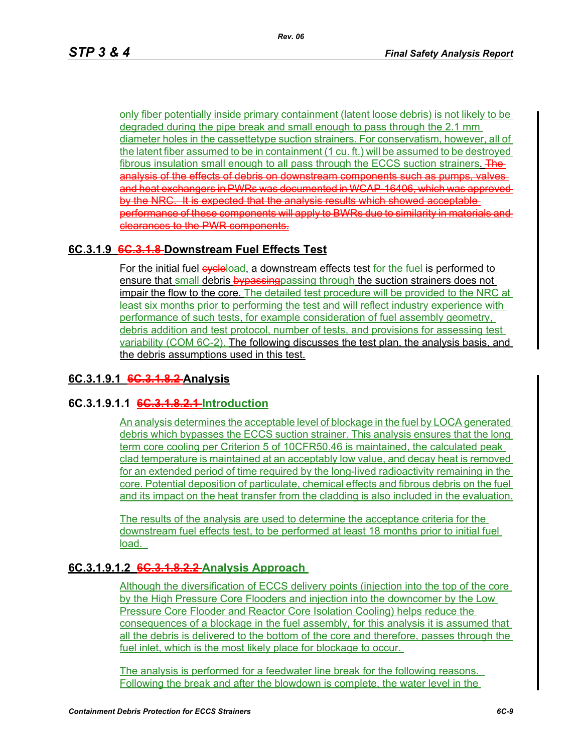only fiber potentially inside primary containment (latent loose debris) is not likely to be degraded during the pipe break and small enough to pass through the 2.1 mm diameter holes in the cassettetype suction strainers. For conservatism, however, all of the latent fiber assumed to be in containment (1 cu. ft.) will be assumed to be destroyed fibrous insulation small enough to all pass through the ECCS suction strainers. The analysis of the effects of debris on downstream components such as pumps, valves and heat exchangers in PWRs was documented in WCAP 16406, which was approved by the NRC. It is expected that the analysis results which showed acceptable performance of these components will apply to BWRs due to similarity in materials and clearances to the PWR components.

## **6C.3.1.9 6C.3.1.8 Downstream Fuel Effects Test**

For the initial fuel eveleload, a downstream effects test for the fuel is performed to ensure that small debris by passing passing through the suction strainers does not impair the flow to the core. The detailed test procedure will be provided to the NRC at least six months prior to performing the test and will reflect industry experience with performance of such tests, for example consideration of fuel assembly geometry, debris addition and test protocol, number of tests, and provisions for assessing test variability (COM 6C-2). The following discusses the test plan, the analysis basis, and the debris assumptions used in this test.

### **6C.3.1.9.1 6C.3.1.8.2 Analysis**

### **6C.3.1.9.1.1 6C.3.1.8.2.1 Introduction**

An analysis determines the acceptable level of blockage in the fuel by LOCA generated debris which bypasses the ECCS suction strainer. This analysis ensures that the long term core cooling per Criterion 5 of 10CFR50.46 is maintained, the calculated peak clad temperature is maintained at an acceptably low value, and decay heat is removed for an extended period of time required by the long-lived radioactivity remaining in the core. Potential deposition of particulate, chemical effects and fibrous debris on the fuel and its impact on the heat transfer from the cladding is also included in the evaluation.

The results of the analysis are used to determine the acceptance criteria for the downstream fuel effects test, to be performed at least 18 months prior to initial fuel load.

### **6C.3.1.9.1.2 6C.3.1.8.2.2 Analysis Approach**

Although the diversification of ECCS delivery points (injection into the top of the core by the High Pressure Core Flooders and injection into the downcomer by the Low Pressure Core Flooder and Reactor Core Isolation Cooling) helps reduce the consequences of a blockage in the fuel assembly, for this analysis it is assumed that all the debris is delivered to the bottom of the core and therefore, passes through the fuel inlet, which is the most likely place for blockage to occur.

The analysis is performed for a feedwater line break for the following reasons. Following the break and after the blowdown is complete, the water level in the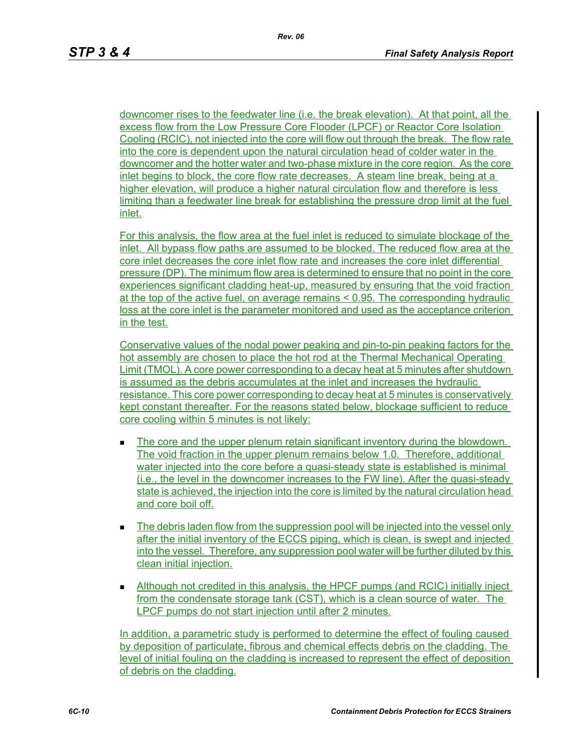downcomer rises to the feedwater line (i.e. the break elevation). At that point, all the excess flow from the Low Pressure Core Flooder (LPCF) or Reactor Core Isolation Cooling (RCIC), not injected into the core will flow out through the break. The flow rate into the core is dependent upon the natural circulation head of colder water in the downcomer and the hotter water and two-phase mixture in the core region. As the core inlet begins to block, the core flow rate decreases. A steam line break, being at a higher elevation, will produce a higher natural circulation flow and therefore is less limiting than a feedwater line break for establishing the pressure drop limit at the fuel inlet.

For this analysis, the flow area at the fuel inlet is reduced to simulate blockage of the inlet. All bypass flow paths are assumed to be blocked. The reduced flow area at the core inlet decreases the core inlet flow rate and increases the core inlet differential pressure (DP). The minimum flow area is determined to ensure that no point in the core experiences significant cladding heat-up, measured by ensuring that the void fraction at the top of the active fuel, on average remains < 0.95. The corresponding hydraulic loss at the core inlet is the parameter monitored and used as the acceptance criterion in the test.

Conservative values of the nodal power peaking and pin-to-pin peaking factors for the hot assembly are chosen to place the hot rod at the Thermal Mechanical Operating Limit (TMOL). A core power corresponding to a decay heat at 5 minutes after shutdown is assumed as the debris accumulates at the inlet and increases the hydraulic resistance. This core power corresponding to decay heat at 5 minutes is conservatively kept constant thereafter. For the reasons stated below, blockage sufficient to reduce core cooling within 5 minutes is not likely:

- The core and the upper plenum retain significant inventory during the blowdown. The void fraction in the upper plenum remains below 1.0. Therefore, additional water injected into the core before a quasi-steady state is established is minimal (i.e., the level in the downcomer increases to the FW line). After the quasi-steady state is achieved, the injection into the core is limited by the natural circulation head and core boil off.
- The debris laden flow from the suppression pool will be injected into the vessel only after the initial inventory of the ECCS piping, which is clean, is swept and injected into the vessel. Therefore, any suppression pool water will be further diluted by this clean initial injection.
- Although not credited in this analysis, the HPCF pumps (and RCIC) initially inject from the condensate storage tank (CST), which is a clean source of water. The LPCF pumps do not start injection until after 2 minutes.

In addition, a parametric study is performed to determine the effect of fouling caused by deposition of particulate, fibrous and chemical effects debris on the cladding. The level of initial fouling on the cladding is increased to represent the effect of deposition of debris on the cladding.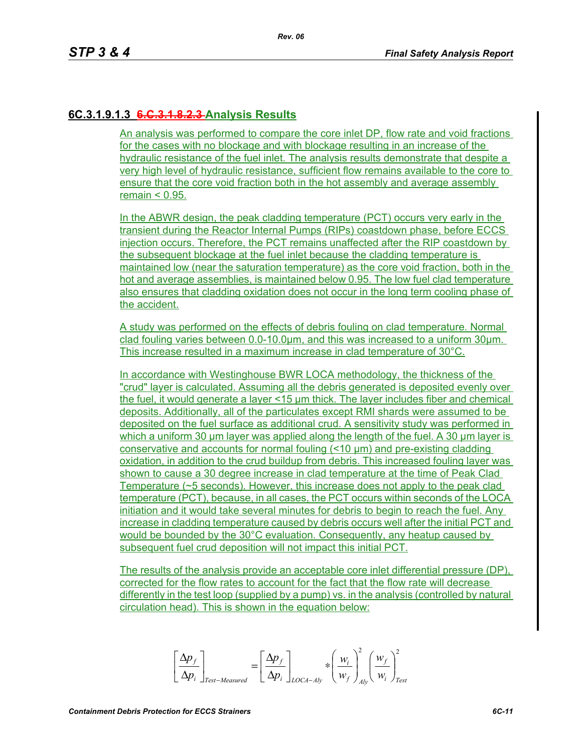# **6C.3.1.9.1.3 6.C.3.1.8.2.3 Analysis Results**

An analysis was performed to compare the core inlet DP, flow rate and void fractions for the cases with no blockage and with blockage resulting in an increase of the hydraulic resistance of the fuel inlet. The analysis results demonstrate that despite a very high level of hydraulic resistance, sufficient flow remains available to the core to ensure that the core void fraction both in the hot assembly and average assembly remain  $< 0.95$ .

In the ABWR design, the peak cladding temperature (PCT) occurs very early in the transient during the Reactor Internal Pumps (RIPs) coastdown phase, before ECCS injection occurs. Therefore, the PCT remains unaffected after the RIP coastdown by the subsequent blockage at the fuel inlet because the cladding temperature is maintained low (near the saturation temperature) as the core void fraction, both in the hot and average assemblies, is maintained below 0.95. The low fuel clad temperature also ensures that cladding oxidation does not occur in the long term cooling phase of the accident.

A study was performed on the effects of debris fouling on clad temperature. Normal clad fouling varies between 0.0-10.0μm, and this was increased to a uniform 30μm. This increase resulted in a maximum increase in clad temperature of 30°C.

In accordance with Westinghouse BWR LOCA methodology, the thickness of the "crud" layer is calculated. Assuming all the debris generated is deposited evenly over the fuel, it would generate a layer <15 μm thick. The layer includes fiber and chemical deposits. Additionally, all of the particulates except RMI shards were assumed to be deposited on the fuel surface as additional crud. A sensitivity study was performed in which a uniform 30 um layer was applied along the length of the fuel. A 30 um layer is conservative and accounts for normal fouling (<10 μm) and pre-existing cladding oxidation, in addition to the crud buildup from debris. This increased fouling layer was shown to cause a 30 degree increase in clad temperature at the time of Peak Clad Temperature (~5 seconds). However, this increase does not apply to the peak clad temperature (PCT), because, in all cases, the PCT occurs within seconds of the LOCA initiation and it would take several minutes for debris to begin to reach the fuel. Any increase in cladding temperature caused by debris occurs well after the initial PCT and would be bounded by the 30°C evaluation. Consequently, any heatup caused by subsequent fuel crud deposition will not impact this initial PCT.

The results of the analysis provide an acceptable core inlet differential pressure (DP), corrected for the flow rates to account for the fact that the flow rate will decrease differently in the test loop (supplied by a pump) vs. in the analysis (controlled by natural circulation head). This is shown in the equation below:

$$
\left[\frac{\Delta p_{f}}{\Delta p_{i}}\right]_{\text{Test-Measured}} = \left[\frac{\Delta p_{f}}{\Delta p_{i}}\right]_{\text{LOCA-Aly}} * \left(\frac{w_{i}}{w_{f}}\right)_{\text{Ay}}^{2} \left(\frac{w_{f}}{w_{i}}\right)_{\text{Test}}^{2}
$$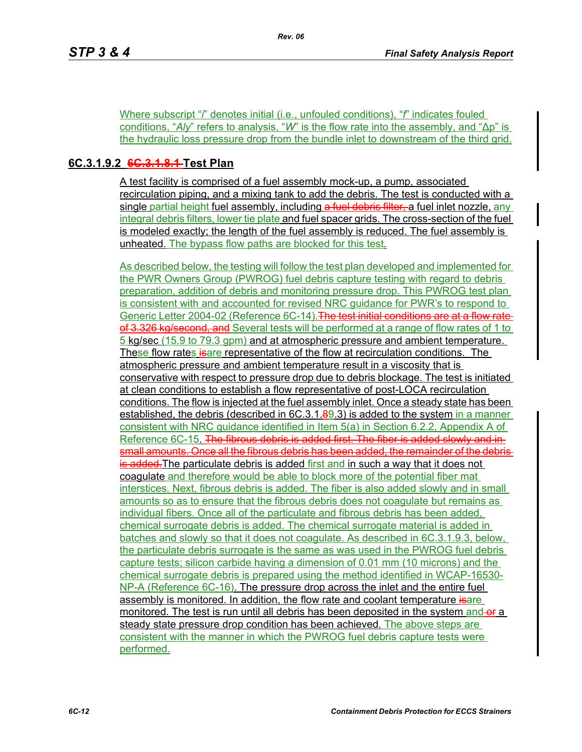Where subscript "*i*" denotes initial (i.e., unfouled conditions), "*f*" indicates fouled conditions, "*Aly*" refers to analysis, "*W*" is the flow rate into the assembly, and "∆p" is the hydraulic loss pressure drop from the bundle inlet to downstream of the third grid.

# **6C.3.1.9.2 6C.3.1.8.1 Test Plan**

A test facility is comprised of a fuel assembly mock-up, a pump, associated recirculation piping, and a mixing tank to add the debris. The test is conducted with a single partial height fuel assembly, including a fuel debris filter, a fuel inlet nozzle, any integral debris filters, lower tie plate and fuel spacer grids. The cross-section of the fuel is modeled exactly; the length of the fuel assembly is reduced. The fuel assembly is unheated. The bypass flow paths are blocked for this test.

As described below, the testing will follow the test plan developed and implemented for the PWR Owners Group (PWROG) fuel debris capture testing with regard to debris preparation, addition of debris and monitoring pressure drop. This PWROG test plan is consistent with and accounted for revised NRC guidance for PWR's to respond to Generic Letter 2004-02 (Reference 6C-14). The test initial conditions are at a flow rate of 3.326 kg/second, and Several tests will be performed at a range of flow rates of 1 to 5 kg/sec (15.9 to 79.3 gpm) and at atmospheric pressure and ambient temperature. These flow rates is expresentative of the flow at recirculation conditions. The atmospheric pressure and ambient temperature result in a viscosity that is conservative with respect to pressure drop due to debris blockage. The test is initiated at clean conditions to establish a flow representative of post-LOCA recirculation conditions. The flow is injected at the fuel assembly inlet. Once a steady state has been established, the debris (described in  $6C.3.1.89.3$ ) is added to the system in a manner consistent with NRC guidance identified in Item 5(a) in Section 6.2.2, Appendix A of Reference 6C-15. The fibrous debris is added first. The fiber is added slowly and insmall amounts. Once all the fibrous debris has been added, the remainder of the debris is added. The particulate debris is added first and in such a way that it does not coagulate and therefore would be able to block more of the potential fiber mat interstices. Next, fibrous debris is added. The fiber is also added slowly and in small amounts so as to ensure that the fibrous debris does not coagulate but remains as individual fibers. Once all of the particulate and fibrous debris has been added, chemical surrogate debris is added. The chemical surrogate material is added in batches and slowly so that it does not coagulate. As described in 6C.3.1.9.3, below, the particulate debris surrogate is the same as was used in the PWROG fuel debris capture tests; silicon carbide having a dimension of 0.01 mm (10 microns) and the chemical surrogate debris is prepared using the method identified in WCAP-16530- NP-A (Reference 6C-16). The pressure drop across the inlet and the entire fuel assembly is monitored. In addition, the flow rate and coolant temperature is are monitored. The test is run until all debris has been deposited in the system and-or a steady state pressure drop condition has been achieved. The above steps are consistent with the manner in which the PWROG fuel debris capture tests were performed.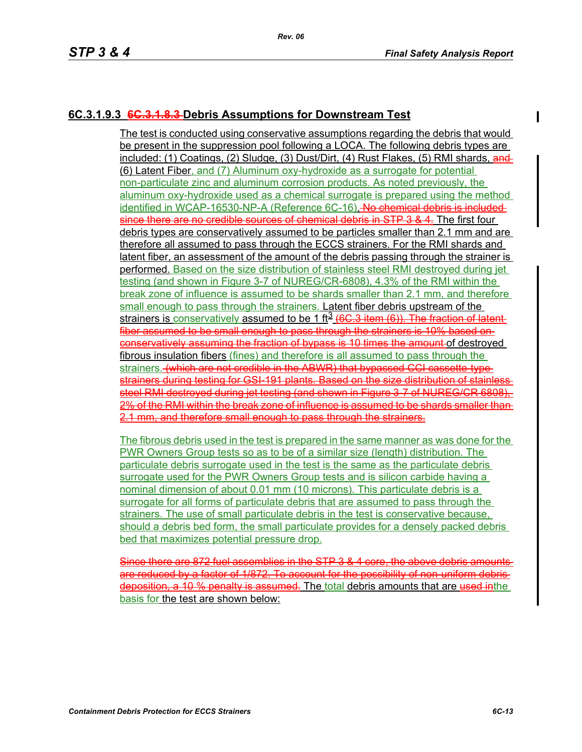## **6C.3.1.9.3 6C.3.1.8.3 Debris Assumptions for Downstream Test**

The test is conducted using conservative assumptions regarding the debris that would be present in the suppression pool following a LOCA. The following debris types are included: (1) Coatings, (2) Sludge, (3) Dust/Dirt, (4) Rust Flakes, (5) RMI shards, and (6) Latent Fiber, and (7) Aluminum oxy-hydroxide as a surrogate for potential non-particulate zinc and aluminum corrosion products. As noted previously, the aluminum oxy-hydroxide used as a chemical surrogate is prepared using the method identified in WCAP-16530-NP-A (Reference 6C-16). No chemical debris is includedsince there are no credible sources of chemical debris in STP 3 & 4. The first four debris types are conservatively assumed to be particles smaller than 2.1 mm and are therefore all assumed to pass through the ECCS strainers. For the RMI shards and latent fiber, an assessment of the amount of the debris passing through the strainer is performed. Based on the size distribution of stainless steel RMI destroyed during jet testing (and shown in Figure 3-7 of NUREG/CR-6808), 4.3% of the RMI within the break zone of influence is assumed to be shards smaller than 2.1 mm, and therefore small enough to pass through the strainers. Latent fiber debris upstream of the strainers is conservatively assumed to be 1 ft<sup>3</sup> (6C.3 item (6)). The fraction of latent fiber assumed to be small enough to pass through the strainers is 10% based on conservatively assuming the fraction of bypass is 10 times the amount of destroyed fibrous insulation fibers (fines) and therefore is all assumed to pass through the strainers. (which are not credible in the ABWR) that bypassed CCI cassette-typestrainers during testing for GSI 191 plants. Based on the size distribution of stainle steel RMI destroyed during jet testing (and shown in Figure 3-7 of NUREG/CR 6808). 2% of the RMI within the break zone of influence is assumed to be shards smaller than 2.1 mm, and therefore small enough to pass through the strainers.

The fibrous debris used in the test is prepared in the same manner as was done for the PWR Owners Group tests so as to be of a similar size (length) distribution. The particulate debris surrogate used in the test is the same as the particulate debris surrogate used for the PWR Owners Group tests and is silicon carbide having a nominal dimension of about 0.01 mm (10 microns). This particulate debris is a surrogate for all forms of particulate debris that are assumed to pass through the strainers. The use of small particulate debris in the test is conservative because, should a debris bed form, the small particulate provides for a densely packed debris bed that maximizes potential pressure drop.

Since there are 872 fuel assemblies in the STP 3 & 4 core, the above debris are reduced by a factor of 1/872. To account for the possibility of non-uniform debris deposition, a 10 % penalty is assumed. The total debris amounts that are used in the basis for the test are shown below: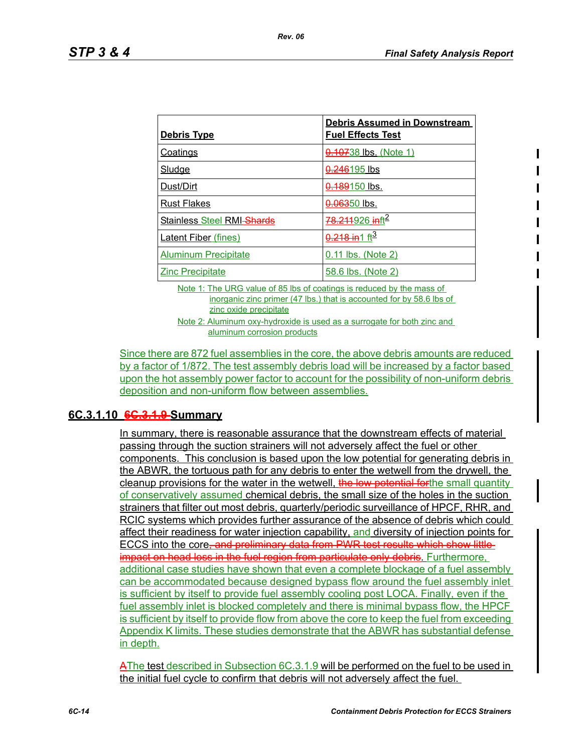| <u>Debris Type</u>          | <b>Debris Assumed in Downstream</b><br><b>Fuel Effects Test</b> |
|-----------------------------|-----------------------------------------------------------------|
| <b>Coatings</b>             | 0.10738 lbs. (Note 1)                                           |
| Sludge                      | 0.246195 lbs                                                    |
| Dust/Dirt                   | <del>0.189</del> 150 lbs.                                       |
| <b>Rust Flakes</b>          | <del>0.063</del> 50 lbs.                                        |
| Stainless Steel RMI-Shards  | 78.211926 inft <sup>2</sup>                                     |
| <b>Latent Fiber (fines)</b> | $0.218$ in 1 ft <sup>3</sup>                                    |
| <b>Aluminum Precipitate</b> | 0.11 lbs. (Note 2)                                              |
| <b>Zinc Precipitate</b>     | <u>58.6 lbs. (Note 2)</u>                                       |

Note 1: The URG value of 85 lbs of coatings is reduced by the mass of inorganic zinc primer (47 lbs.) that is accounted for by 58.6 lbs of zinc oxide precipitate

Note 2: Aluminum oxy-hydroxide is used as a surrogate for both zinc and aluminum corrosion products

Since there are 872 fuel assemblies in the core, the above debris amounts are reduced by a factor of 1/872. The test assembly debris load will be increased by a factor based upon the hot assembly power factor to account for the possibility of non-uniform debris deposition and non-uniform flow between assemblies.

# **6C.3.1.10 6C.3.1.9 Summary**

In summary, there is reasonable assurance that the downstream effects of material passing through the suction strainers will not adversely affect the fuel or other components. This conclusion is based upon the low potential for generating debris in the ABWR, the tortuous path for any debris to enter the wetwell from the drywell, the cleanup provisions for the water in the wetwell, the low potential forthe small quantity of conservatively assumed chemical debris, the small size of the holes in the suction strainers that filter out most debris, quarterly/periodic surveillance of HPCF, RHR, and RCIC systems which provides further assurance of the absence of debris which could affect their readiness for water injection capability, and diversity of injection points for ECCS into the core, and preliminary data from PWR test results which show littleimpact on head loss in the fuel region from particulate only debris. Furthermore, additional case studies have shown that even a complete blockage of a fuel assembly can be accommodated because designed bypass flow around the fuel assembly inlet is sufficient by itself to provide fuel assembly cooling post LOCA. Finally, even if the fuel assembly inlet is blocked completely and there is minimal bypass flow, the HPCF is sufficient by itself to provide flow from above the core to keep the fuel from exceeding Appendix K limits. These studies demonstrate that the ABWR has substantial defense in depth.

AThe test described in Subsection 6C.3.1.9 will be performed on the fuel to be used in the initial fuel cycle to confirm that debris will not adversely affect the fuel.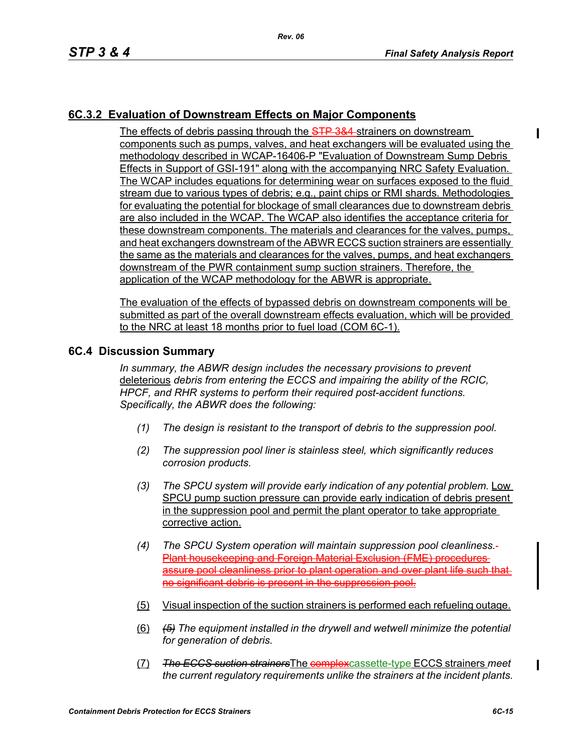# **6C.3.2 Evaluation of Downstream Effects on Major Components**

The effects of debris passing through the STP 3&4 strainers on downstream components such as pumps, valves, and heat exchangers will be evaluated using the methodology described in WCAP-16406-P "Evaluation of Downstream Sump Debris Effects in Support of GSI-191" along with the accompanying NRC Safety Evaluation. The WCAP includes equations for determining wear on surfaces exposed to the fluid stream due to various types of debris; e.g., paint chips or RMI shards. Methodologies for evaluating the potential for blockage of small clearances due to downstream debris are also included in the WCAP. The WCAP also identifies the acceptance criteria for these downstream components. The materials and clearances for the valves, pumps, and heat exchangers downstream of the ABWR ECCS suction strainers are essentially the same as the materials and clearances for the valves, pumps, and heat exchangers downstream of the PWR containment sump suction strainers. Therefore, the application of the WCAP methodology for the ABWR is appropriate.

The evaluation of the effects of bypassed debris on downstream components will be submitted as part of the overall downstream effects evaluation, which will be provided to the NRC at least 18 months prior to fuel load (COM 6C-1).

#### **6C.4 Discussion Summary**

*In summary, the ABWR design includes the necessary provisions to prevent*  deleterious *debris from entering the ECCS and impairing the ability of the RCIC, HPCF, and RHR systems to perform their required post-accident functions. Specifically, the ABWR does the following:*

- *(1) The design is resistant to the transport of debris to the suppression pool.*
- *(2) The suppression pool liner is stainless steel, which significantly reduces corrosion products.*
- *(3) The SPCU system will provide early indication of any potential problem.* Low SPCU pump suction pressure can provide early indication of debris present in the suppression pool and permit the plant operator to take appropriate corrective action.
- *(4) The SPCU System operation will maintain suppression pool cleanliness.* Plant housekeeping and Foreign Material Exclusion (FME) procedures assure pool cleanliness prior to plant operation and over plant life such that no significant debris is present in the suppression pool.
- (5) Visual inspection of the suction strainers is performed each refueling outage.
- (6) *(5) The equipment installed in the drywell and wetwell minimize the potential for generation of debris.*
- (7) *The ECCS suction strainers*The complexcassette-type ECCS strainers *meet the current regulatory requirements unlike the strainers at the incident plants.*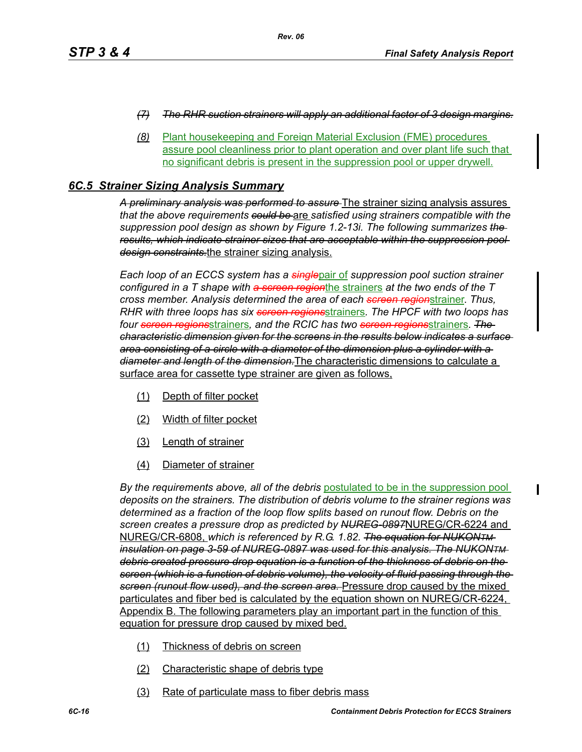- *(7) The RHR suction strainers will apply an additional factor of 3 design margins.*
- *(8)* Plant housekeeping and Foreign Material Exclusion (FME) procedures assure pool cleanliness prior to plant operation and over plant life such that no significant debris is present in the suppression pool or upper drywell.

#### *6C.5 Strainer Sizing Analysis Summary*

*A preliminary analysis was performed to assure* The strainer sizing analysis assures *that the above requirements could be* are *satisfied using strainers compatible with the suppression pool design as shown by Figure 1.2-13i. The following summarizes the results, which indicate strainer sizes that are acceptable within the suppression pool design constraints.*the strainer sizing analysis.

*Each loop of an ECCS system has a single*pair of *suppression pool suction strainer configured in a T shape with a screen region*the strainers *at the two ends of the T cross member. Analysis determined the area of each screen region*strainer. *Thus, RHR with three loops has six screen regions*strainers*. The HPCF with two loops has four screen regions*strainers*, and the RCIC has two screen regions*strainers*. The characteristic dimension given for the screens in the results below indicates a surface area consisting of a circle with a diameter of the dimension plus a cylinder with a diameter and length of the dimension.*The characteristic dimensions to calculate a surface area for cassette type strainer are given as follows.

- (1) Depth of filter pocket
- (2) Width of filter pocket
- (3) Length of strainer
- (4) Diameter of strainer

*By the requirements above, all of the debris* postulated to be in the suppression pool *deposits on the strainers. The distribution of debris volume to the strainer regions was determined as a fraction of the loop flow splits based on runout flow. Debris on the screen creates a pressure drop as predicted by NUREG-0897*NUREG/CR-6224 and NUREG/CR-6808, *which is referenced by R.G. 1.82. The equation for NUKONTM insulation on page 3-59 of NUREG-0897 was used for this analysis. The NUKONTM debris created pressure drop equation is a function of the thickness of debris on the screen (which is a function of debris volume), the velocity of fluid passing through the screen (runout flow used), and the screen area.* Pressure drop caused by the mixed particulates and fiber bed is calculated by the equation shown on NUREG/CR-6224, Appendix B. The following parameters play an important part in the function of this equation for pressure drop caused by mixed bed.

- (1) Thickness of debris on screen
- (2) Characteristic shape of debris type
- (3) Rate of particulate mass to fiber debris mass

I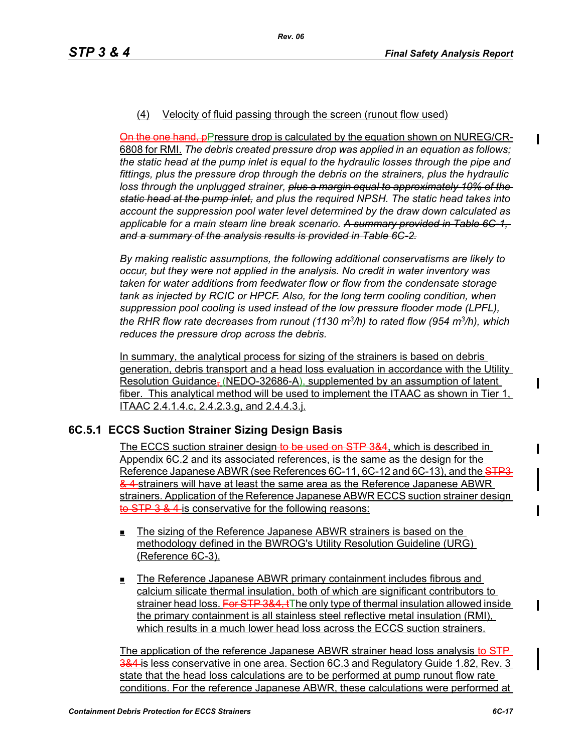#### (4) Velocity of fluid passing through the screen (runout flow used)

On the one hand, pPressure drop is calculated by the equation shown on NUREG/CR-6808 for RMI. *The debris created pressure drop was applied in an equation as follows; the static head at the pump inlet is equal to the hydraulic losses through the pipe and fittings, plus the pressure drop through the debris on the strainers, plus the hydraulic loss through the unplugged strainer, plus a margin equal to approximately 10% of the static head at the pump inlet, and plus the required NPSH. The static head takes into account the suppression pool water level determined by the draw down calculated as applicable for a main steam line break scenario. A summary provided in Table 6C-1, and a summary of the analysis results is provided in Table 6C-2.*

*By making realistic assumptions, the following additional conservatisms are likely to occur, but they were not applied in the analysis. No credit in water inventory was taken for water additions from feedwater flow or flow from the condensate storage tank as injected by RCIC or HPCF. Also, for the long term cooling condition, when suppression pool cooling is used instead of the low pressure flooder mode (LPFL), the RHR flow rate decreases from runout (1130 m3/h) to rated flow (954 m3/h), which reduces the pressure drop across the debris.*

In summary, the analytical process for sizing of the strainers is based on debris generation, debris transport and a head loss evaluation in accordance with the Utility Resolution Guidance, (NEDO-32686-A), supplemented by an assumption of latent fiber. This analytical method will be used to implement the ITAAC as shown in Tier 1, ITAAC 2.4.1.4.c, 2.4.2.3.g, and 2.4.4.3.j.

### **6C.5.1 ECCS Suction Strainer Sizing Design Basis**

The ECCS suction strainer design to be used on STP 3&4, which is described in Appendix 6C.2 and its associated references, is the same as the design for the Reference Japanese ABWR (see References 6C-11, 6C-12 and 6C-13), and the STP3 & 4 strainers will have at least the same area as the Reference Japanese ABWR strainers. Application of the Reference Japanese ABWR ECCS suction strainer design to STP 3 & 4 is conservative for the following reasons:

- The sizing of the Reference Japanese ABWR strainers is based on the methodology defined in the BWROG's Utility Resolution Guideline (URG) (Reference 6C-3).
- **The Reference Japanese ABWR primary containment includes fibrous and** calcium silicate thermal insulation, both of which are significant contributors to strainer head loss. For STP 3&4, tThe only type of thermal insulation allowed inside the primary containment is all stainless steel reflective metal insulation (RMI), which results in a much lower head loss across the ECCS suction strainers.

The application of the reference Japanese ABWR strainer head loss analysis to STP 3&4- is less conservative in one area. Section 6C.3 and Regulatory Guide 1.82, Rev. 3 state that the head loss calculations are to be performed at pump runout flow rate conditions. For the reference Japanese ABWR, these calculations were performed at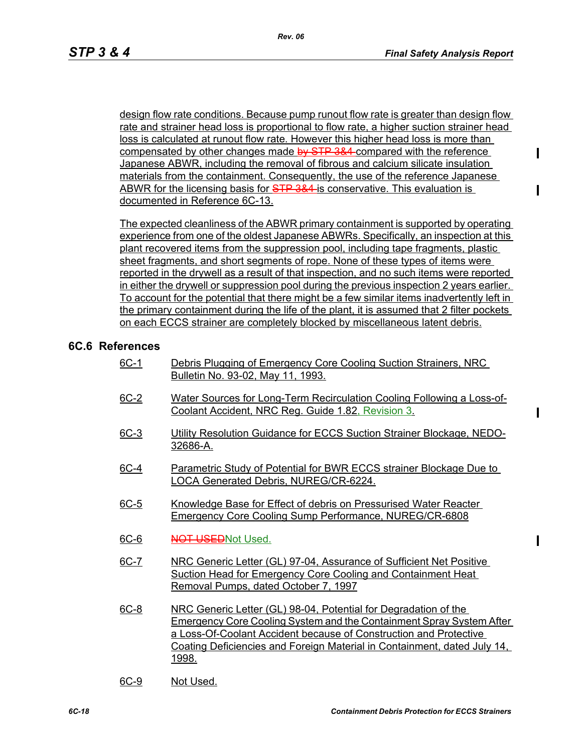design flow rate conditions. Because pump runout flow rate is greater than design flow rate and strainer head loss is proportional to flow rate, a higher suction strainer head loss is calculated at runout flow rate. However this higher head loss is more than compensated by other changes made by STP 3&4 compared with the reference Japanese ABWR, including the removal of fibrous and calcium silicate insulation materials from the containment. Consequently, the use of the reference Japanese ABWR for the licensing basis for STP 3&4 is conservative. This evaluation is documented in Reference 6C-13.

The expected cleanliness of the ABWR primary containment is supported by operating experience from one of the oldest Japanese ABWRs. Specifically, an inspection at this plant recovered items from the suppression pool, including tape fragments, plastic sheet fragments, and short segments of rope. None of these types of items were reported in the drywell as a result of that inspection, and no such items were reported in either the drywell or suppression pool during the previous inspection 2 years earlier. To account for the potential that there might be a few similar items inadvertently left in the primary containment during the life of the plant, it is assumed that 2 filter pockets on each ECCS strainer are completely blocked by miscellaneous latent debris.

#### **6C.6 References**

- 6C-1 Debris Plugging of Emergency Core Cooling Suction Strainers, NRC Bulletin No. 93-02, May 11, 1993.
- 6C-2 Water Sources for Long-Term Recirculation Cooling Following a Loss-of-Coolant Accident, NRC Reg. Guide 1.82, Revision 3.
- 6C-3 Utility Resolution Guidance for ECCS Suction Strainer Blockage, NEDO-32686-A.
- 6C-4 Parametric Study of Potential for BWR ECCS strainer Blockage Due to LOCA Generated Debris, NUREG/CR-6224.
- 6C-5 Knowledge Base for Effect of debris on Pressurised Water Reacter Emergency Core Cooling Sump Performance, NUREG/CR-6808
- 6C-6 NOT USEDNot Used.
- 6C-7 NRC Generic Letter (GL) 97-04, Assurance of Sufficient Net Positive Suction Head for Emergency Core Cooling and Containment Heat Removal Pumps, dated October 7, 1997
- 6C-8 NRC Generic Letter (GL) 98-04, Potential for Degradation of the Emergency Core Cooling System and the Containment Spray System After a Loss-Of-Coolant Accident because of Construction and Protective Coating Deficiencies and Foreign Material in Containment, dated July 14, 1998.
- 6C-9 Not Used.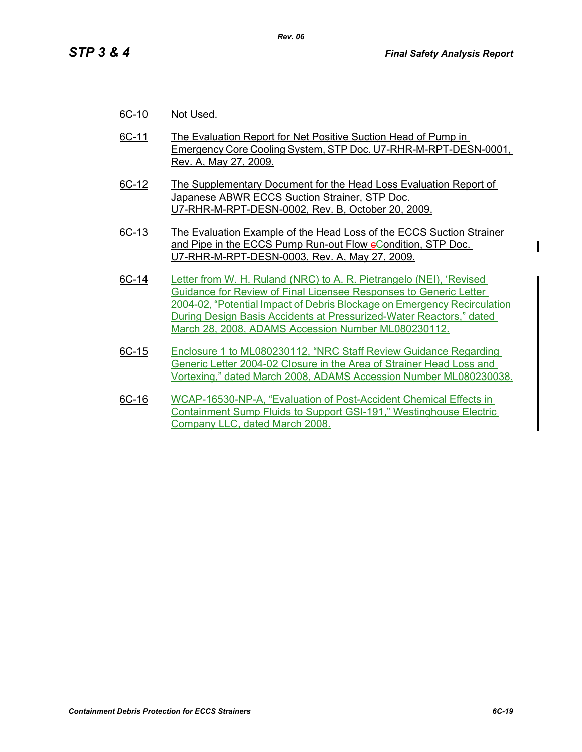- 6C-10 Not Used.
- 6C-11 The Evaluation Report for Net Positive Suction Head of Pump in Emergency Core Cooling System, STP Doc. U7-RHR-M-RPT-DESN-0001, Rev. A, May 27, 2009.
- 6C-12 The Supplementary Document for the Head Loss Evaluation Report of Japanese ABWR ECCS Suction Strainer, STP Doc. U7-RHR-M-RPT-DESN-0002, Rev. B, October 20, 2009.
- 6C-13 The Evaluation Example of the Head Loss of the ECCS Suction Strainer and Pipe in the ECCS Pump Run-out Flow eCondition, STP Doc. U7-RHR-M-RPT-DESN-0003, Rev. A, May 27, 2009.
- 6C-14 Letter from W. H. Ruland (NRC) to A. R. Pietrangelo (NEI), 'Revised Guidance for Review of Final Licensee Responses to Generic Letter 2004-02, "Potential Impact of Debris Blockage on Emergency Recirculation During Design Basis Accidents at Pressurized-Water Reactors," dated March 28, 2008, ADAMS Accession Number ML080230112.
- 6C-15 Enclosure 1 to ML080230112, "NRC Staff Review Guidance Regarding Generic Letter 2004-02 Closure in the Area of Strainer Head Loss and Vortexing," dated March 2008, ADAMS Accession Number ML080230038.
- 6C-16 WCAP-16530-NP-A, "Evaluation of Post-Accident Chemical Effects in Containment Sump Fluids to Support GSI-191," Westinghouse Electric Company LLC, dated March 2008.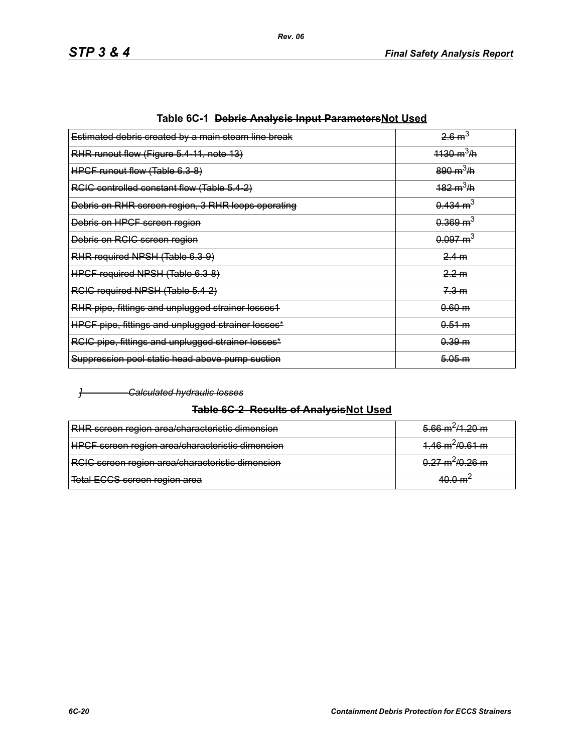| Estimated debris created by a main steam line break | $26 \text{ m}^3$            |
|-----------------------------------------------------|-----------------------------|
| RHR runout flow (Figure 5.4-11, note 13)            | $1130 \text{ m}^3/\text{h}$ |
| HPCF runout flow (Table 6.3-8)                      | $890 \text{ m}^3/\text{h}$  |
| RCIC controlled constant flow (Table 5.4-2)         | $182 \text{ m}^3/\text{h}$  |
| Debris on RHR screen region, 3 RHR loops operating  | $0.434 \text{ m}^3$         |
| Debris on HPCF screen region                        | $0.369 \text{ m}^3$         |
| Debris on RCIC screen region                        | $0.097 \text{ m}^3$         |
| RHR required NPSH (Table 6.3-9)                     | 2.4 m                       |
| HPCF required NPSH (Table 6.3-8)                    | 2.2 m                       |
| RCIC required NPSH (Table 5.4-2)                    | 7.3 m                       |
| RHR pipe, fittings and unplugged strainer losses1   | 0.60 m                      |
| HPCF pipe, fittings and unplugged strainer losses*  | 0.51 m                      |
| RCIC pipe, fittings and unplugged strainer losses*  | 0.39 m                      |
| Suppression pool static head above pump suction     | 5.05 m                      |
|                                                     |                             |

|  | Table 6C-1 <del>Debris Analysis Input Parameters</del> Not Used |  |
|--|-----------------------------------------------------------------|--|
|--|-----------------------------------------------------------------|--|

*Rev. 06*

#### *] Calculated hydraulic losses*

# **Table 6C-2 Results of AnalysisNot Used**

| RHR screen region area/characteristic dimension  | $5.66 \text{ m}^2/1.20 \text{ m}$ |
|--------------------------------------------------|-----------------------------------|
| HPCF screen region area/characteristic dimension | $4.46 \text{ m}^2/0.61 \text{ m}$ |
| RCIC screen region area/characteristic dimension | $0.27 \text{ m}^2/0.26 \text{ m}$ |
| Total ECCS screen region area                    | $40.0 \text{ m}^2$                |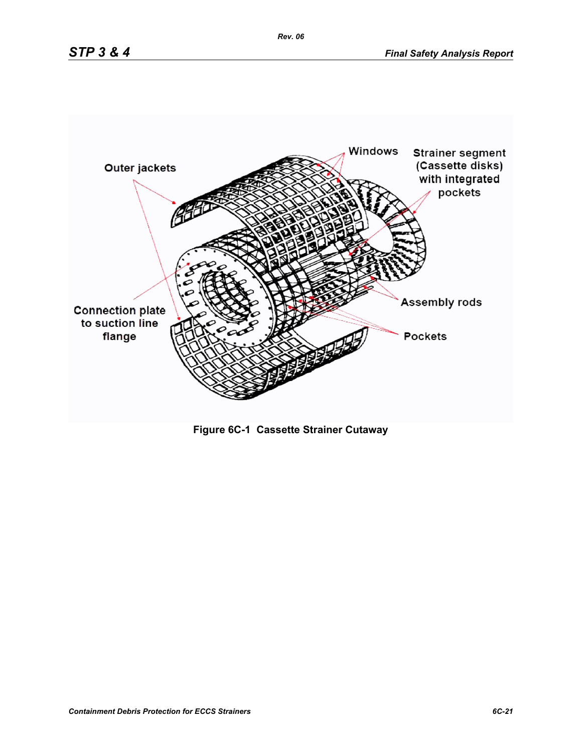



*Rev. 06*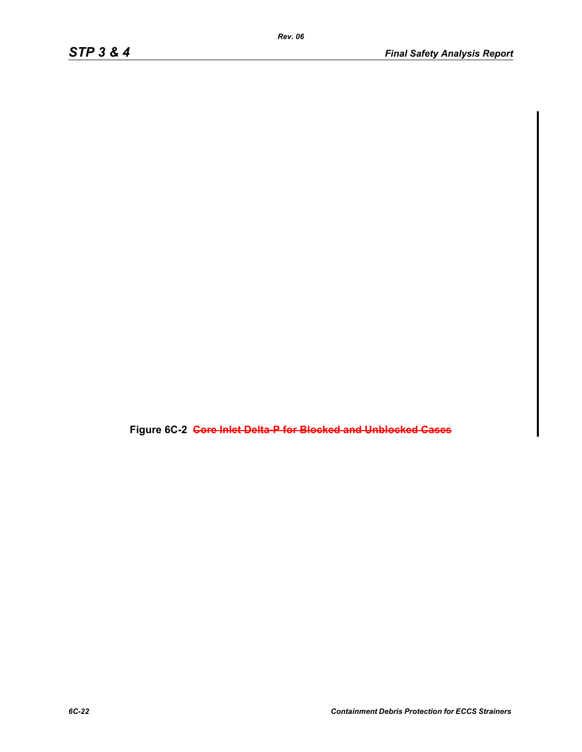**Figure 6C-2 Core Inlet Delta-P for Blocked and Unblocked Cases**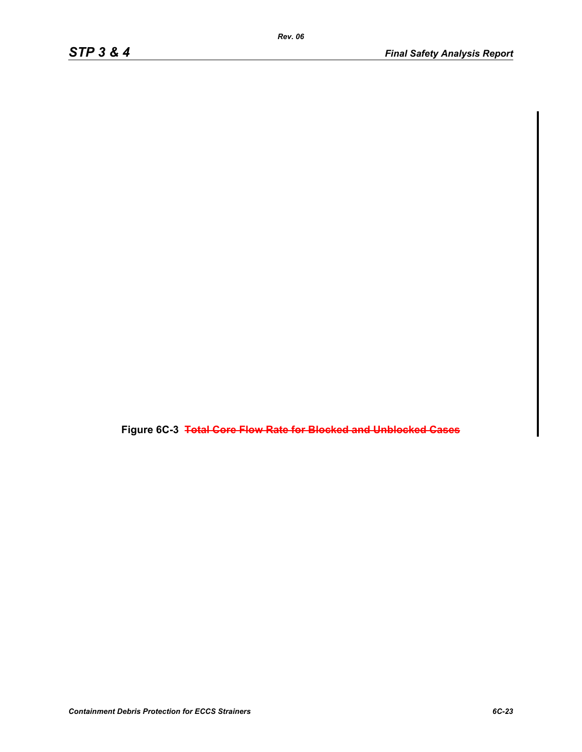**Figure 6C-3 Total Core Flow Rate for Blocked and Unblocked Cases**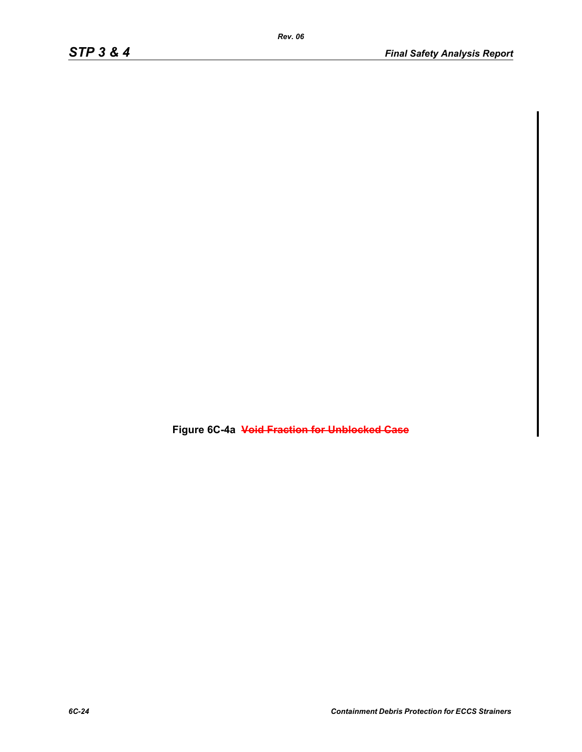**Figure 6C-4a Void Fraction for Unblocked Case**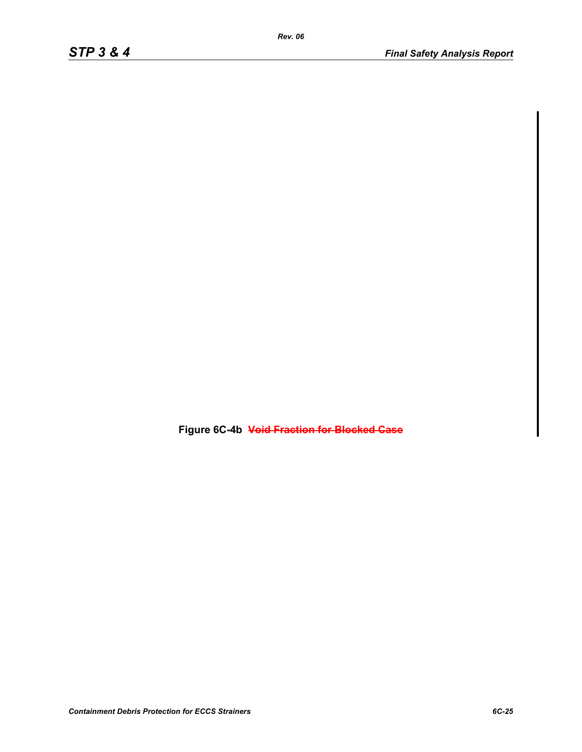**Figure 6C-4b Void Fraction for Blocked Case**